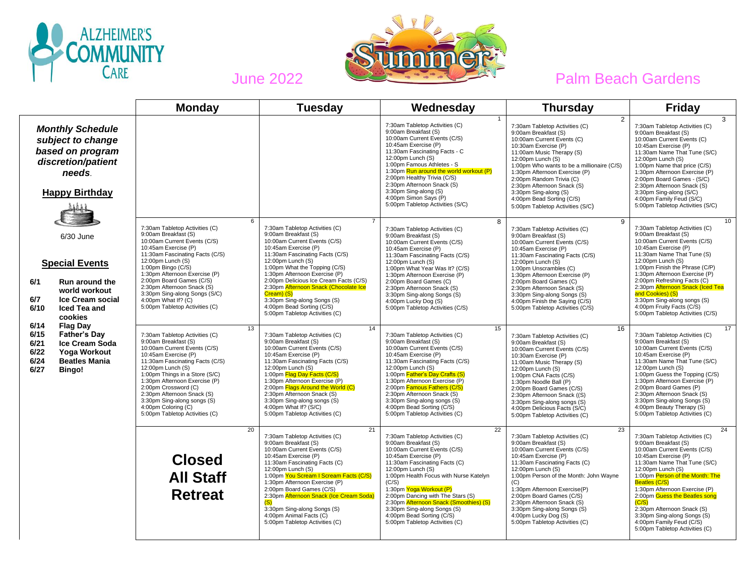



|                                                                                                                                                                          | <b>Monday</b>                                                                                                                                                                                                                                                                                                                                                                                 | <b>Tuesday</b>                                                                                                                                                                                                                                                                                                                                                                                                                                            | Wednesday                                                                                                                                                                                                                                                                                                                                                                                                                                          | <b>Thursday</b>                                                                                                                                                                                                                                                                                                                                                                                                     | <b>Friday</b>                                                                                                                                                                                                                                                                                                                                                                                                                       |
|--------------------------------------------------------------------------------------------------------------------------------------------------------------------------|-----------------------------------------------------------------------------------------------------------------------------------------------------------------------------------------------------------------------------------------------------------------------------------------------------------------------------------------------------------------------------------------------|-----------------------------------------------------------------------------------------------------------------------------------------------------------------------------------------------------------------------------------------------------------------------------------------------------------------------------------------------------------------------------------------------------------------------------------------------------------|----------------------------------------------------------------------------------------------------------------------------------------------------------------------------------------------------------------------------------------------------------------------------------------------------------------------------------------------------------------------------------------------------------------------------------------------------|---------------------------------------------------------------------------------------------------------------------------------------------------------------------------------------------------------------------------------------------------------------------------------------------------------------------------------------------------------------------------------------------------------------------|-------------------------------------------------------------------------------------------------------------------------------------------------------------------------------------------------------------------------------------------------------------------------------------------------------------------------------------------------------------------------------------------------------------------------------------|
| <b>Monthly Schedule</b><br>subject to change<br>based on program<br>discretion/patient<br>needs.<br><b>Happy Birthday</b>                                                |                                                                                                                                                                                                                                                                                                                                                                                               |                                                                                                                                                                                                                                                                                                                                                                                                                                                           | 7:30am Tabletop Activities (C)<br>9:00am Breakfast (S)<br>10:00am Current Events (C/S)<br>10:45am Exercise (P)<br>11:30am Fascinating Facts - C<br>12:00pm Lunch (S)<br>1:00pm Famous Athletes - S<br>1:30pm Run around the world workout (P)<br>2:00pm Healthy Trivia (C/S)<br>2:30pm Afternoon Snack (S)<br>3:30pm Sing-along (S)<br>4:00pm Simon Says (P)<br>5:00pm Tabletop Activities (S/C)                                                   | $\overline{2}$<br>7:30am Tabletop Activities (C)<br>9:00am Breakfast (S)<br>10:00am Current Events (C)<br>10:30am Exercise (P)<br>11:00am Music Therapy (S)<br>12:00pm Lunch (S)<br>1:00pm Who wants to be a millionaire (C/S)<br>1:30pm Afternoon Exercise (P)<br>2:00pm Random Trivia (C)<br>2:30pm Afternoon Snack (S)<br>3:30pm Sing-along (S)<br>4:00pm Bead Sorting (C/S)<br>5:00pm Tabletop Activities (S/C) | 3<br>7:30am Tabletop Activities (C)<br>9:00am Breakfast (S)<br>10:00am Current Events (C)<br>10:45am Exercise (P)<br>11:30am Name That Tune (S/C)<br>12:00pm Lunch (S)<br>1:00pm Name that price (C/S)<br>1:30pm Afternoon Exercise (P)<br>2:00pm Board Games - (S/C)<br>2:30pm Afternoon Snack (S)<br>3:30pm Sing-along (S/C)<br>4:00pm Family Feud (S/C)<br>5:00pm Tabletop Activities (S/C)                                      |
| 6/30 June<br><b>Special Events</b><br>6/1<br><b>Run around the</b><br>world workout<br><b>Ice Cream social</b><br>6/7<br>6/10<br>Iced Tea and<br>cookies                 | 6<br>7:30am Tabletop Activities (C)<br>9:00am Breakfast (S)<br>10:00am Current Events (C/S)<br>10:45am Exercise (P)<br>11:30am Fascinating Facts (C/S)<br>12:00pm Lunch (S)<br>1:00pm Bingo (C/S)<br>1:30pm Afternoon Exercise (P)<br>2:00pm Board Games (C/S)<br>2:30pm Afternoon Snack (S)<br>3:30pm Sing-along Songs (S/C)<br>4:00pm What If? (C)<br>5:00pm Tabletop Activities (C)        | $\overline{7}$<br>7:30am Tabletop Activities (C)<br>9:00am Breakfast (S)<br>10:00am Current Events (C/S)<br>10:45am Exercise (P)<br>11:30am Fascinating Facts (C/S)<br>12:00pm Lunch (S)<br>1:00pm What the Topping (C/S)<br>1:30pm Afternoon Exercise (P)<br>2:00pm Delicious Ice Cream Facts (C/S)<br>2:30pm Afternoon Snack (Chocolate Ice<br>Cream) (S)<br>3:30pm Sing-along Songs (S)<br>4:00pm Bead Sorting (C/S)<br>5:00pm Tabletop Activities (C) | 8<br>7:30am Tabletop Activities (C)<br>9:00am Breakfast (S)<br>10:00am Current Events (C/S)<br>10:45am Exercise (P)<br>11:30am Fascinating Facts (C/S)<br>12:00pm Lunch (S)<br>1:00pm What Year Was It? (C/S)<br>1:30pm Afternoon Exercise (P)<br>2:00pm Board Games (C)<br>2:30pm Afternoon Snack (S)<br>3:30pm Sing-along Songs (S)<br>4:00pm Lucky Dog (S)<br>5:00pm Tabletop Activities (C/S)                                                  | 9<br>7:30am Tabletop Activities (C)<br>9:00am Breakfast (S)<br>10:00am Current Events (C/S)<br>10:45am Exercise (P)<br>11:30am Fascinating Facts (C/S)<br>12:00pm Lunch (S)<br>1:00pm Unscrambles (C)<br>1:30pm Afternoon Exercise (P)<br>2:00pm Board Games (C)<br>2:30pm Afternoon Snack (S)<br>3:30pm Sing-along Songs (S)<br>4:00pm Finish the Saying (C/S)<br>5:00pm Tabletop Activities (C/S)                 | 10<br>7:30am Tabletop Activities (C)<br>9:00am Breakfast (S)<br>10:00am Current Events (C/S)<br>10:45am Exercise (P)<br>11:30am Name That Tune (S)<br>12:00pm Lunch (S)<br>1:00pm Finish the Phrase (C/P)<br>1:30pm Afternoon Exercise (P)<br>2:00pm Refreshing Facts (C)<br>2:30pm Afternoon Snack (Iced Tea<br>and Cookies) (S)<br>3:30pm Sing-along songs (S)<br>4:00pm Fruity Facts (C/S)<br>5:00pm Tabletop Activities (C/S)   |
| 6/14<br><b>Flag Day</b><br>6/15<br>Father's Day<br><b>Ice Cream Soda</b><br>6/21<br>6/22<br><b>Yoga Workout</b><br>6/24<br><b>Beatles Mania</b><br>6/27<br><b>Bingo!</b> | 13<br>7:30am Tabletop Activities (C)<br>9:00am Breakfast (S)<br>10:00am Current Events (C/S)<br>10:45am Exercise (P)<br>11:30am Fascinating Facts (C/S)<br>12:00pm Lunch (S)<br>1:00pm Things in a Store (S/C)<br>1:30pm Afternoon Exercise (P)<br>2:00pm Crossword (C)<br>2:30pm Afternoon Snack (S)<br>3:30pm Sing-along songs (S)<br>4:00pm Coloring (C)<br>5:00pm Tabletop Activities (C) | 14<br>7:30am Tabletop Activities (C)<br>9:00am Breakfast (S)<br>10:00am Current Events (C/S)<br>10:45am Exercise (P)<br>11:30am Fascinating Facts (C/S)<br>12:00pm Lunch (S)<br>1:00pm Flag Day Facts (C/S)<br>1:30pm Afternoon Exercise (P)<br>2:00pm Flags Around the World (C)<br>2:30pm Afternoon Snack (S)<br>3:30pm Sing-along songs (S)<br>4:00pm What If? (S/C)<br>5:00pm Tabletop Activities (C)                                                 | 15<br>7:30am Tabletop Activities (C)<br>9:00am Breakfast (S)<br>10:00am Current Events (C/S)<br>10:45am Exercise (P)<br>11:30am Fascinating Facts (C/S)<br>12:00pm Lunch (S)<br>1:00pm Father's Day Crafts (S)<br>1:30pm Afternoon Exercise (P)<br>2:00pm Famous Fathers (C/S)<br>2:30pm Afternoon Snack (S)<br>3:30pm Sing-along songs (S)<br>4:00pm Bead Sorting (C/S)<br>5:00pm Tabletop Activities (C)                                         | 16<br>7:30am Tabletop Activities (C)<br>9:00am Breakfast (S)<br>10:00am Current Events (C/S)<br>10:30am Exercise (P)<br>11:00am Music Therapy (S)<br>12:00pm Lunch (S)<br>1:00pm CNA Facts (C/S)<br>1:30pm Noodle Ball (P)<br>2:00pm Board Games (C/S)<br>2:30pm Afternoon Snack ((S)<br>3:30pm Sing-along songs (S)<br>4:00pm Delicious Facts (S/C)<br>5:00pm Tabletop Activities (C)                              | 17<br>7:30am Tabletop Activities (C)<br>9:00am Breakfast (S)<br>10:00am Current Events (C/S)<br>10:45am Exercise (P)<br>11:30am Name That Tune (S/C)<br>12:00pm Lunch (S)<br>1:00pm Guess the Topping (C/S)<br>1:30pm Afternoon Exercise (P)<br>2:00pm Board Games (P)<br>2:30pm Afternoon Snack (S)<br>3:30pm Sing-along Songs (S)<br>4:00pm Beauty Therapy (S)<br>5:00pm Tabletop Activities (C)                                  |
|                                                                                                                                                                          | 20<br><b>Closed</b><br><b>All Staff</b><br><b>Retreat</b>                                                                                                                                                                                                                                                                                                                                     | 21<br>7:30am Tabletop Activities (C)<br>9:00am Breakfast (S)<br>10:00am Current Events (C/S)<br>10:45am Exercise (P)<br>11:30am Fascinating Facts (C)<br>12:00pm Lunch (S)<br>1:00pm You Scream I Scream Facts (C/S)<br>1:30pm Afternoon Exercise (P)<br>2:00pm Board Games (C/S)<br>2:30pm Afternoon Snack (Ice Cream Soda)<br>3:30pm Sing-along Songs (S)<br>4:00pm Animal Facts (C)<br>5:00pm Tabletop Activities (C)                                  | $\overline{22}$<br>7:30am Tabletop Activities (C)<br>9:00am Breakfast (S)<br>10:00am Current Events (C/S)<br>10:45am Exercise (P)<br>11:30am Fascinating Facts (C)<br>12:00pm Lunch (S)<br>1:00pm Health Focus with Nurse Katelyn<br>(C/S)<br>1:30pm Yoga Workout (P)<br>2:00pm Dancing with The Stars (S)<br>2:30pm Afternoon Snack (Smoothies) (S)<br>3:30pm Sing-along Songs (S)<br>4:00pm Bead Sorting (C/S)<br>5:00pm Tabletop Activities (C) | 23<br>7:30am Tabletop Activities (C)<br>9:00am Breakfast (S)<br>10:00am Current Events (C/S)<br>10:45am Exercise (P)<br>11:30am Fascinating Facts (C)<br>12:00pm Lunch (S)<br>1:00pm Person of the Month: John Wayne<br>(C)<br>1:30pm Afternoon Exercise(P)<br>2:00pm Board Games (C/S)<br>2:30pm Afternoon Snack (S)<br>3:30pm Sing-along Songs (S)<br>4:00pm Lucky Dog (S)<br>5:00pm Tabletop Activities (C)      | 24<br>7:30am Tabletop Activities (C)<br>9:00am Breakfast (S)<br>10:00am Current Events (C/S)<br>10:45am Exercise (P)<br>11:30am Name That Tune (S/C)<br>12:00pm Lunch (S)<br>1:00pm Person of the Month: The<br>Beatles (C/S)<br>1:30pm Afternoon Exercise (P)<br>2:00pm Guess the Beatles song<br>(C/S)<br>2:30pm Afternoon Snack (S)<br>3:30pm Sing-along Songs (S)<br>4:00pm Family Feud (C/S)<br>5:00pm Tabletop Activities (C) |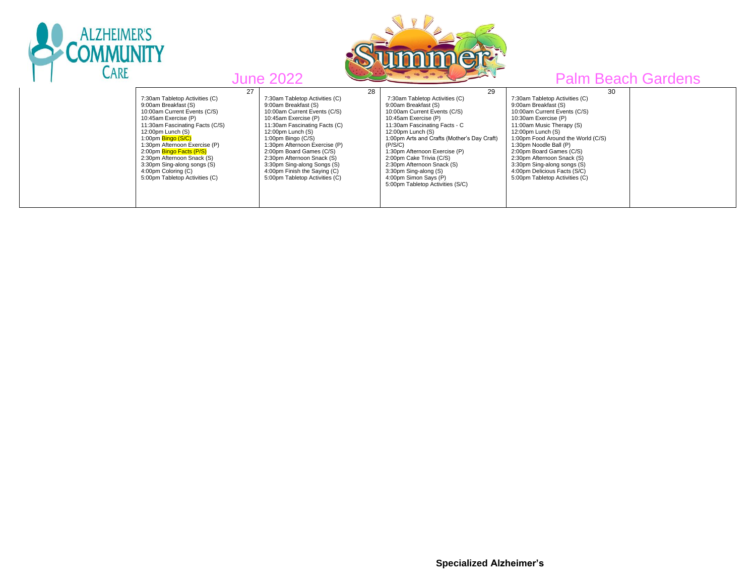

ALZHEIMER'S

<u>MMUN</u> CARE

| 27<br>7:30am Tabletop Activities (C)<br>9:00am Breakfast (S)<br>10:00am Current Events (C/S)<br>10:45am Exercise (P)<br>11:30am Fascinating Facts (C/S)<br>$12:00$ pm Lunch $(S)$                     | "<br>28<br>7:30am Tabletop Activities (C)<br>9:00am Breakfast (S)<br>10:00am Current Events (C/S)<br>10:45am Exercise (P)<br>11:30am Fascinating Facts (C)<br>12:00pm Lunch (S)                                | 29<br>7:30am Tabletop Activities (C)<br>9:00am Breakfast (S)<br>10:00am Current Events (C/S)<br>10:45am Exercise (P)<br>11:30am Fascinating Facts - C<br>12:00pm Lunch (S)                                                              | 30<br>7:30am Tabletop Activities (C)<br>9:00am Breakfast (S)<br>10:00am Current Events (C/S)<br>10:30am Exercise (P)<br>11:00am Music Therapy (S)<br>$12:00$ pm Lunch $(S)$                                             | $\sim$ uluvilu |
|-------------------------------------------------------------------------------------------------------------------------------------------------------------------------------------------------------|----------------------------------------------------------------------------------------------------------------------------------------------------------------------------------------------------------------|-----------------------------------------------------------------------------------------------------------------------------------------------------------------------------------------------------------------------------------------|-------------------------------------------------------------------------------------------------------------------------------------------------------------------------------------------------------------------------|----------------|
| 1:00pm Bingo (S/C)<br>1:30pm Afternoon Exercise (P)<br>2:00pm Bingo Facts (P/S)<br>2:30pm Afternoon Snack (S)<br>3:30pm Sing-along songs (S)<br>4:00pm Coloring (C)<br>5:00pm Tabletop Activities (C) | 1:00pm Bingo (C/S)<br>1:30pm Afternoon Exercise (P)<br>2:00pm Board Games (C/S)<br>2:30pm Afternoon Snack (S)<br>3:30pm Sing-along Songs (S)<br>4:00pm Finish the Saying (C)<br>5:00pm Tabletop Activities (C) | 1:00pm Arts and Crafts (Mother's Day Craft)<br>(P/S/C)<br>1:30pm Afternoon Exercise (P)<br>2:00pm Cake Trivia (C/S)<br>2:30pm Afternoon Snack (S)<br>3:30pm Sing-along (S)<br>4:00pm Simon Says (P)<br>5:00pm Tabletop Activities (S/C) | 1:00pm Food Around the World (C/S)<br>1:30pm Noodle Ball (P)<br>2:00pm Board Games (C/S)<br>2:30pm Afternoon Snack (S)<br>3:30pm Sing-along songs (S)<br>4:00pm Delicious Facts (S/C)<br>5:00pm Tabletop Activities (C) |                |

 **Specialized Alzheimer's**